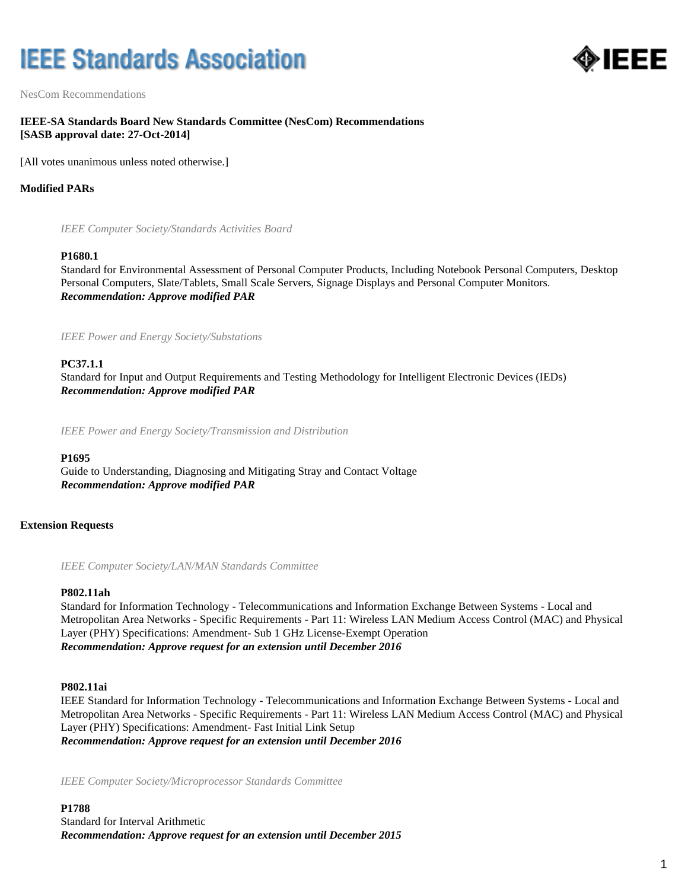# **IEEE Standards Association**



NesCom Recommendations

# **IEEE-SA Standards Board New Standards Committee (NesCom) Recommendations [SASB approval date: 27-Oct-2014]**

[All votes unanimous unless noted otherwise.]

## **Modified PARs**

*IEEE Computer Society/Standards Activities Board*

#### **P1680.1**

Standard for Environmental Assessment of Personal Computer Products, Including Notebook Personal Computers, Desktop Personal Computers, Slate/Tablets, Small Scale Servers, Signage Displays and Personal Computer Monitors. *Recommendation: Approve modified PAR*

*IEEE Power and Energy Society/Substations*

## **PC37.1.1**

Standard for Input and Output Requirements and Testing Methodology for Intelligent Electronic Devices (IEDs) *Recommendation: Approve modified PAR*

*IEEE Power and Energy Society/Transmission and Distribution*

#### **P1695**

Guide to Understanding, Diagnosing and Mitigating Stray and Contact Voltage *Recommendation: Approve modified PAR*

#### **Extension Requests**

*IEEE Computer Society/LAN/MAN Standards Committee*

#### **P802.11ah**

Standard for Information Technology - Telecommunications and Information Exchange Between Systems - Local and Metropolitan Area Networks - Specific Requirements - Part 11: Wireless LAN Medium Access Control (MAC) and Physical Layer (PHY) Specifications: Amendment- Sub 1 GHz License-Exempt Operation *Recommendation: Approve request for an extension until December 2016*

#### **P802.11ai**

IEEE Standard for Information Technology - Telecommunications and Information Exchange Between Systems - Local and Metropolitan Area Networks - Specific Requirements - Part 11: Wireless LAN Medium Access Control (MAC) and Physical Layer (PHY) Specifications: Amendment- Fast Initial Link Setup *Recommendation: Approve request for an extension until December 2016*

*IEEE Computer Society/Microprocessor Standards Committee*

**P1788** Standard for Interval Arithmetic *Recommendation: Approve request for an extension until December 2015*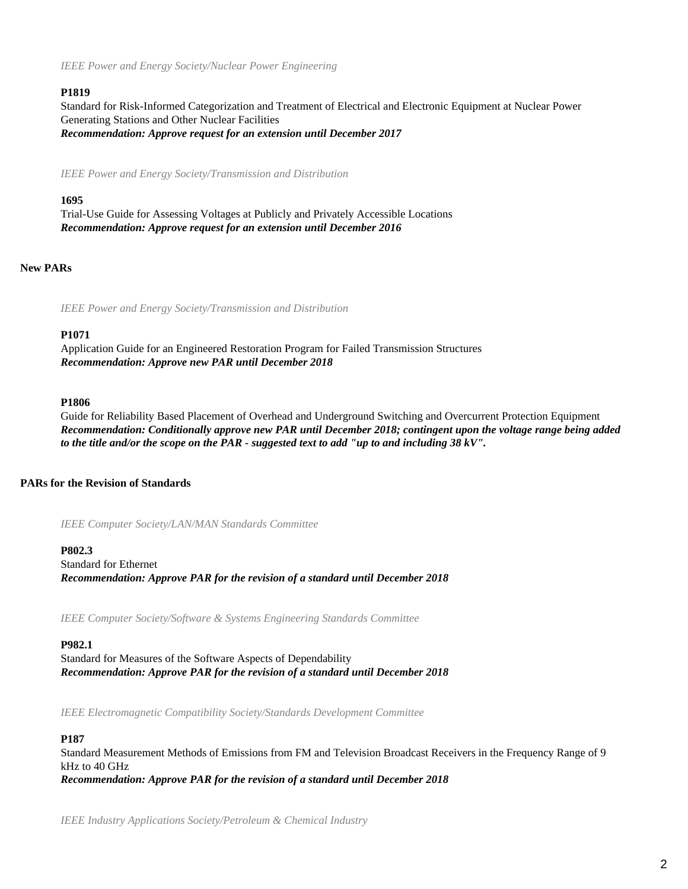*IEEE Power and Energy Society/Nuclear Power Engineering*

## **P1819**

Standard for Risk-Informed Categorization and Treatment of Electrical and Electronic Equipment at Nuclear Power Generating Stations and Other Nuclear Facilities *Recommendation: Approve request for an extension until December 2017*

*IEEE Power and Energy Society/Transmission and Distribution*

## **1695**

Trial-Use Guide for Assessing Voltages at Publicly and Privately Accessible Locations *Recommendation: Approve request for an extension until December 2016*

# **New PARs**

*IEEE Power and Energy Society/Transmission and Distribution*

#### **P1071**

Application Guide for an Engineered Restoration Program for Failed Transmission Structures *Recommendation: Approve new PAR until December 2018*

#### **P1806**

Guide for Reliability Based Placement of Overhead and Underground Switching and Overcurrent Protection Equipment *Recommendation: Conditionally approve new PAR until December 2018; contingent upon the voltage range being added to the title and/or the scope on the PAR - suggested text to add "up to and including 38 kV".*

# **PARs for the Revision of Standards**

*IEEE Computer Society/LAN/MAN Standards Committee*

**P802.3** Standard for Ethernet *Recommendation: Approve PAR for the revision of a standard until December 2018*

*IEEE Computer Society/Software & Systems Engineering Standards Committee*

#### **P982.1**

Standard for Measures of the Software Aspects of Dependability *Recommendation: Approve PAR for the revision of a standard until December 2018*

*IEEE Electromagnetic Compatibility Society/Standards Development Committee*

## **P187**

Standard Measurement Methods of Emissions from FM and Television Broadcast Receivers in the Frequency Range of 9 kHz to 40 GHz *Recommendation: Approve PAR for the revision of a standard until December 2018*

*IEEE Industry Applications Society/Petroleum & Chemical Industry*